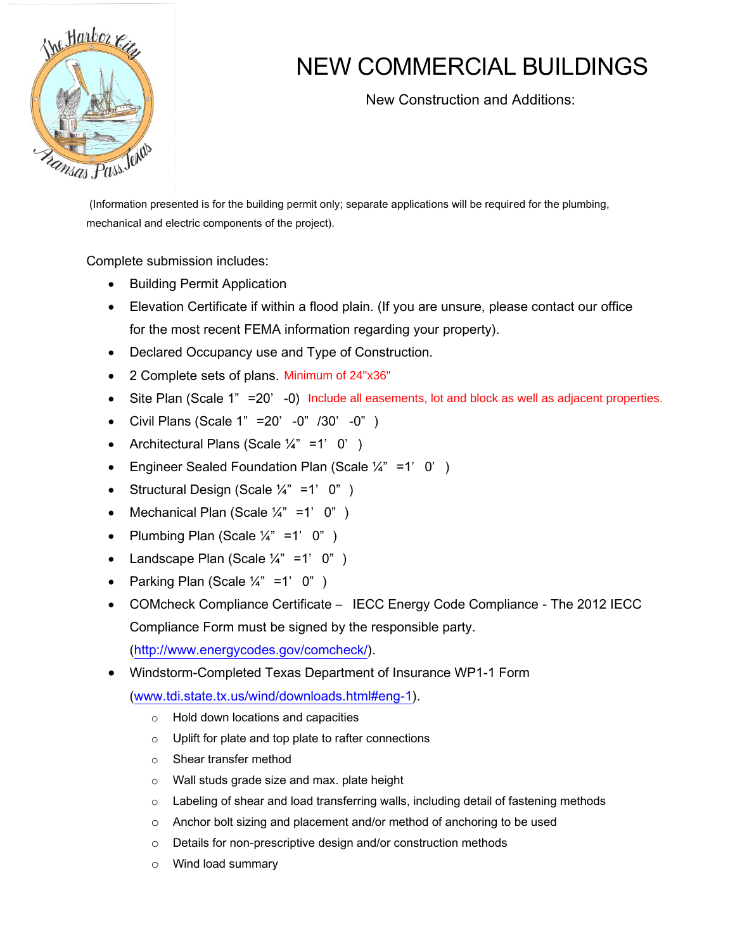

## NEW COMMERCIAL BUILDINGS

New Construction and Additions:

(Information presented is for the building permit only; separate applications will be required for the plumbing, mechanical and electric components of the project).

Complete submission includes:

- Building Permit Application
- Elevation Certificate if within a flood plain. (If you are unsure, please contact our office for the most recent FEMA information regarding your property).
- Declared Occupancy use and Type of Construction.
- 2 Complete sets of plans. Minimum of 24"x36"
- Site Plan (Scale 1" = 20' 0) Include all easements, lot and block as well as adjacent properties.
- Civil Plans (Scale 1" =20' -0" /30' -0" )
- Architectural Plans (Scale  $\frac{1}{4}$ " =1' 0')
- Engineer Sealed Foundation Plan (Scale  $\frac{1}{4}$ " =1' 0')
- Structural Design (Scale  $\frac{1}{4}$ " =1' 0")
- Mechanical Plan (Scale  $\frac{1}{4}$ " =1' 0")
- Plumbing Plan (Scale  $\frac{1}{4}$ " =1' 0")
- Landscape Plan (Scale  $\frac{1}{4}$ " =1' 0")
- Parking Plan (Scale  $\frac{1}{4}$ " =1' 0")
- COMcheck Compliance Certificate IECC Energy Code Compliance The 2012 IECC Compliance Form must be signed by the responsible party.

[\(http://www.energycodes.gov/comcheck/\)](http://www.energycodes.gov/comcheck/).

Windstorm-Completed Texas Department of Insurance WP1-1 Form

[\(www.tdi.state.tx.us/wind/downloads.html#eng-1\)](http://www.tdi.state.tx.us/wind/downloads.html#eng-1).

- o Hold down locations and capacities
- o Uplift for plate and top plate to rafter connections
- o Shear transfer method
- o Wall studs grade size and max. plate height
- $\circ$  Labeling of shear and load transferring walls, including detail of fastening methods
- o Anchor bolt sizing and placement and/or method of anchoring to be used
- o Details for non-prescriptive design and/or construction methods
- o Wind load summary